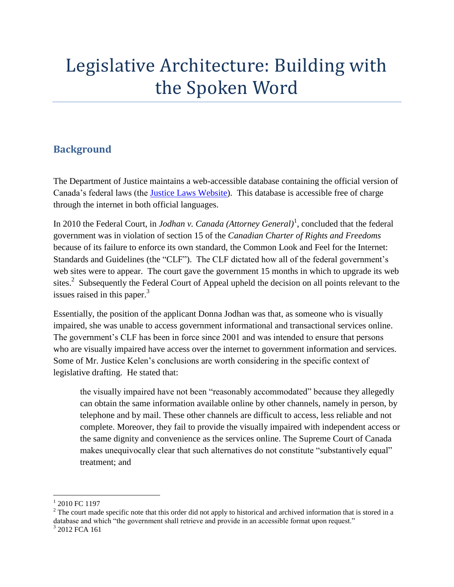# Legislative Architecture: Building with the Spoken Word

## **Background**

The Department of Justice maintains a web-accessible database containing the official version of Canada's federal laws (the [Justice Laws Website\)](http://laws-lois.justice.gc.ca/eng/). This database is accessible free of charge through the internet in both official languages.

In 2010 the Federal Court, in *Jodhan v. Canada (Attorney General)*<sup>1</sup> , concluded that the federal government was in violation of section 15 of the *Canadian Charter of Rights and Freedoms* because of its failure to enforce its own standard, the Common Look and Feel for the Internet: Standards and Guidelines (the "CLF"). The CLF dictated how all of the federal government's web sites were to appear. The court gave the government 15 months in which to upgrade its web sites.<sup>2</sup> Subsequently the Federal Court of Appeal upheld the decision on all points relevant to the issues raised in this paper.<sup>3</sup>

Essentially, the position of the applicant Donna Jodhan was that, as someone who is visually impaired, she was unable to access government informational and transactional services online. The government's CLF has been in force since 2001 and was intended to ensure that persons who are visually impaired have access over the internet to government information and services. Some of Mr. Justice Kelen's conclusions are worth considering in the specific context of legislative drafting. He stated that:

the visually impaired have not been "reasonably accommodated" because they allegedly can obtain the same information available online by other channels, namely in person, by telephone and by mail. These other channels are difficult to access, less reliable and not complete. Moreover, they fail to provide the visually impaired with independent access or the same dignity and convenience as the services online. The Supreme Court of Canada makes unequivocally clear that such alternatives do not constitute "substantively equal" treatment; and

 $\overline{a}$ 

<sup>&</sup>lt;sup>1</sup> 2010 FC 1197

 $2$  The court made specific note that this order did not apply to historical and archived information that is stored in a database and which "the government shall retrieve and provide in an accessible format upon request."

<sup>3</sup> 2012 FCA 161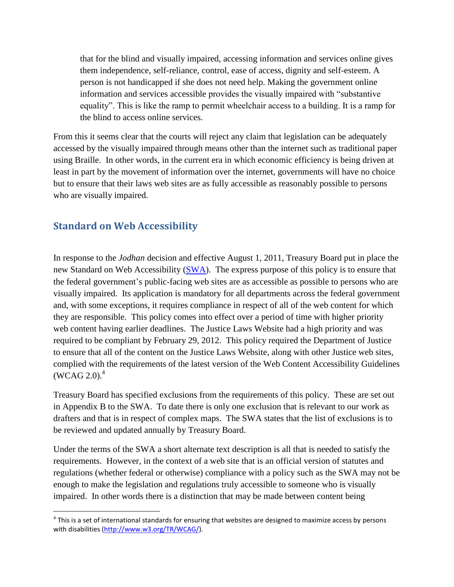that for the blind and visually impaired, accessing information and services online gives them independence, self-reliance, control, ease of access, dignity and self-esteem. A person is not handicapped if she does not need help. Making the government online information and services accessible provides the visually impaired with "substantive equality". This is like the ramp to permit wheelchair access to a building. It is a ramp for the blind to access online services.

From this it seems clear that the courts will reject any claim that legislation can be adequately accessed by the visually impaired through means other than the internet such as traditional paper using Braille. In other words, in the current era in which economic efficiency is being driven at least in part by the movement of information over the internet, governments will have no choice but to ensure that their laws web sites are as fully accessible as reasonably possible to persons who are visually impaired.

## **Standard on Web Accessibility**

 $\overline{a}$ 

In response to the *Jodhan* decision and effective August 1, 2011, Treasury Board put in place the new Standard on Web Accessibility [\(SWA\)](http://www.tbs-sct.gc.ca/pol/doc-eng.aspx?section=text&id=23601). The express purpose of this policy is to ensure that the federal government's public-facing web sites are as accessible as possible to persons who are visually impaired. Its application is mandatory for all departments across the federal government and, with some exceptions, it requires compliance in respect of all of the web content for which they are responsible. This policy comes into effect over a period of time with higher priority web content having earlier deadlines. The Justice Laws Website had a high priority and was required to be compliant by February 29, 2012. This policy required the Department of Justice to ensure that all of the content on the Justice Laws Website, along with other Justice web sites, complied with the requirements of the latest version of the Web Content Accessibility Guidelines  $(WCAG 2.0).<sup>4</sup>$ 

Treasury Board has specified exclusions from the requirements of this policy. These are set out in Appendix B to the SWA. To date there is only one exclusion that is relevant to our work as drafters and that is in respect of complex maps. The SWA states that the list of exclusions is to be reviewed and updated annually by Treasury Board.

Under the terms of the SWA a short alternate text description is all that is needed to satisfy the requirements. However, in the context of a web site that is an official version of statutes and regulations (whether federal or otherwise) compliance with a policy such as the SWA may not be enough to make the legislation and regulations truly accessible to someone who is visually impaired. In other words there is a distinction that may be made between content being

 $^4$  This is a set of international standards for ensuring that websites are designed to maximize access by persons with disabilities [\(http://www.w3.org/TR/WCAG/\)](http://www.w3.org/TR/WCAG/).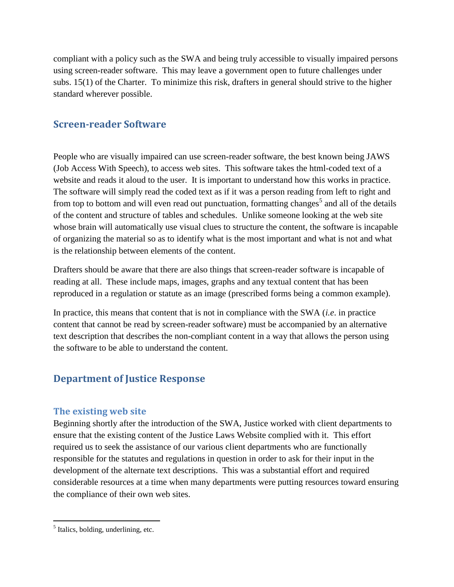compliant with a policy such as the SWA and being truly accessible to visually impaired persons using screen-reader software. This may leave a government open to future challenges under subs. 15(1) of the Charter. To minimize this risk, drafters in general should strive to the higher standard wherever possible.

#### **Screen-reader Software**

People who are visually impaired can use screen-reader software, the best known being JAWS (Job Access With Speech), to access web sites. This software takes the html-coded text of a website and reads it aloud to the user. It is important to understand how this works in practice. The software will simply read the coded text as if it was a person reading from left to right and from top to bottom and will even read out punctuation, formatting changes<sup>5</sup> and all of the details of the content and structure of tables and schedules. Unlike someone looking at the web site whose brain will automatically use visual clues to structure the content, the software is incapable of organizing the material so as to identify what is the most important and what is not and what is the relationship between elements of the content.

Drafters should be aware that there are also things that screen-reader software is incapable of reading at all. These include maps, images, graphs and any textual content that has been reproduced in a regulation or statute as an image (prescribed forms being a common example).

In practice, this means that content that is not in compliance with the SWA (*i.e*. in practice content that cannot be read by screen-reader software) must be accompanied by an alternative text description that describes the non-compliant content in a way that allows the person using the software to be able to understand the content.

## **Department of Justice Response**

#### **The existing web site**

Beginning shortly after the introduction of the SWA, Justice worked with client departments to ensure that the existing content of the Justice Laws Website complied with it. This effort required us to seek the assistance of our various client departments who are functionally responsible for the statutes and regulations in question in order to ask for their input in the development of the alternate text descriptions. This was a substantial effort and required considerable resources at a time when many departments were putting resources toward ensuring the compliance of their own web sites.

 $\overline{a}$ 

 $<sup>5</sup>$  Italics, bolding, underlining, etc.</sup>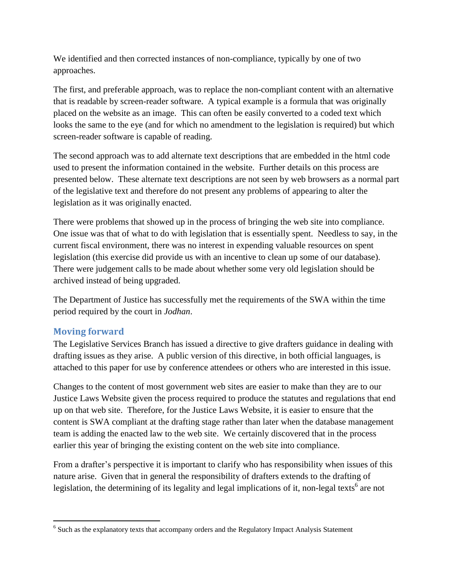We identified and then corrected instances of non-compliance, typically by one of two approaches.

The first, and preferable approach, was to replace the non-compliant content with an alternative that is readable by screen-reader software. A typical example is a formula that was originally placed on the website as an image. This can often be easily converted to a coded text which looks the same to the eye (and for which no amendment to the legislation is required) but which screen-reader software is capable of reading.

The second approach was to add alternate text descriptions that are embedded in the html code used to present the information contained in the website. Further details on this process are presented below. These alternate text descriptions are not seen by web browsers as a normal part of the legislative text and therefore do not present any problems of appearing to alter the legislation as it was originally enacted.

There were problems that showed up in the process of bringing the web site into compliance. One issue was that of what to do with legislation that is essentially spent. Needless to say, in the current fiscal environment, there was no interest in expending valuable resources on spent legislation (this exercise did provide us with an incentive to clean up some of our database). There were judgement calls to be made about whether some very old legislation should be archived instead of being upgraded.

The Department of Justice has successfully met the requirements of the SWA within the time period required by the court in *Jodhan*.

#### **Moving forward**

 $\overline{a}$ 

The Legislative Services Branch has issued a directive to give drafters guidance in dealing with drafting issues as they arise. A public version of this directive, in both official languages, is attached to this paper for use by conference attendees or others who are interested in this issue.

Changes to the content of most government web sites are easier to make than they are to our Justice Laws Website given the process required to produce the statutes and regulations that end up on that web site. Therefore, for the Justice Laws Website, it is easier to ensure that the content is SWA compliant at the drafting stage rather than later when the database management team is adding the enacted law to the web site. We certainly discovered that in the process earlier this year of bringing the existing content on the web site into compliance.

From a drafter's perspective it is important to clarify who has responsibility when issues of this nature arise. Given that in general the responsibility of drafters extends to the drafting of legislation, the determining of its legality and legal implications of it, non-legal texts<sup>6</sup> are not

 $<sup>6</sup>$  Such as the explanatory texts that accompany orders and the Regulatory Impact Analysis Statement</sup>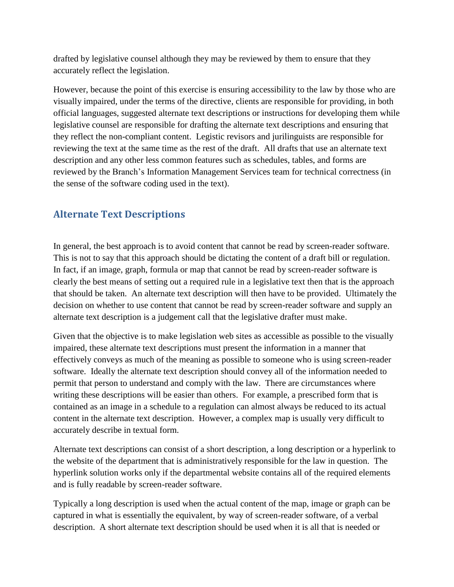drafted by legislative counsel although they may be reviewed by them to ensure that they accurately reflect the legislation.

However, because the point of this exercise is ensuring accessibility to the law by those who are visually impaired, under the terms of the directive, clients are responsible for providing, in both official languages, suggested alternate text descriptions or instructions for developing them while legislative counsel are responsible for drafting the alternate text descriptions and ensuring that they reflect the non-compliant content. Legistic revisors and jurilinguists are responsible for reviewing the text at the same time as the rest of the draft. All drafts that use an alternate text description and any other less common features such as schedules, tables, and forms are reviewed by the Branch's Information Management Services team for technical correctness (in the sense of the software coding used in the text).

## **Alternate Text Descriptions**

In general, the best approach is to avoid content that cannot be read by screen-reader software. This is not to say that this approach should be dictating the content of a draft bill or regulation. In fact, if an image, graph, formula or map that cannot be read by screen-reader software is clearly the best means of setting out a required rule in a legislative text then that is the approach that should be taken. An alternate text description will then have to be provided. Ultimately the decision on whether to use content that cannot be read by screen-reader software and supply an alternate text description is a judgement call that the legislative drafter must make.

Given that the objective is to make legislation web sites as accessible as possible to the visually impaired, these alternate text descriptions must present the information in a manner that effectively conveys as much of the meaning as possible to someone who is using screen-reader software. Ideally the alternate text description should convey all of the information needed to permit that person to understand and comply with the law. There are circumstances where writing these descriptions will be easier than others. For example, a prescribed form that is contained as an image in a schedule to a regulation can almost always be reduced to its actual content in the alternate text description. However, a complex map is usually very difficult to accurately describe in textual form.

Alternate text descriptions can consist of a short description, a long description or a hyperlink to the website of the department that is administratively responsible for the law in question. The hyperlink solution works only if the departmental website contains all of the required elements and is fully readable by screen-reader software.

Typically a long description is used when the actual content of the map, image or graph can be captured in what is essentially the equivalent, by way of screen-reader software, of a verbal description. A short alternate text description should be used when it is all that is needed or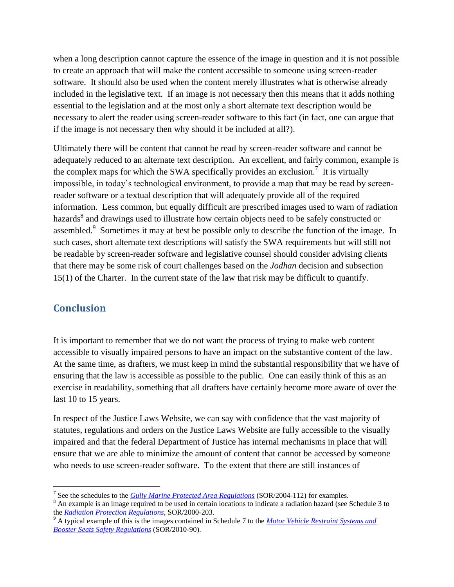when a long description cannot capture the essence of the image in question and it is not possible to create an approach that will make the content accessible to someone using screen-reader software. It should also be used when the content merely illustrates what is otherwise already included in the legislative text. If an image is not necessary then this means that it adds nothing essential to the legislation and at the most only a short alternate text description would be necessary to alert the reader using screen-reader software to this fact (in fact, one can argue that if the image is not necessary then why should it be included at all?).

Ultimately there will be content that cannot be read by screen-reader software and cannot be adequately reduced to an alternate text description. An excellent, and fairly common, example is the complex maps for which the SWA specifically provides an exclusion.<sup>7</sup> It is virtually impossible, in today's technological environment, to provide a map that may be read by screenreader software or a textual description that will adequately provide all of the required information. Less common, but equally difficult are prescribed images used to warn of radiation hazards<sup>8</sup> and drawings used to illustrate how certain objects need to be safely constructed or assembled.<sup>9</sup> Sometimes it may at best be possible only to describe the function of the image. In such cases, short alternate text descriptions will satisfy the SWA requirements but will still not be readable by screen-reader software and legislative counsel should consider advising clients that there may be some risk of court challenges based on the *Jodhan* decision and subsection 15(1) of the Charter. In the current state of the law that risk may be difficult to quantify.

#### **Conclusion**

It is important to remember that we do not want the process of trying to make web content accessible to visually impaired persons to have an impact on the substantive content of the law. At the same time, as drafters, we must keep in mind the substantial responsibility that we have of ensuring that the law is accessible as possible to the public. One can easily think of this as an exercise in readability, something that all drafters have certainly become more aware of over the last 10 to 15 years.

In respect of the Justice Laws Website, we can say with confidence that the vast majority of statutes, regulations and orders on the Justice Laws Website are fully accessible to the visually impaired and that the federal Department of Justice has internal mechanisms in place that will ensure that we are able to minimize the amount of content that cannot be accessed by someone who needs to use screen-reader software. To the extent that there are still instances of

 $\overline{a}$ 7 See the schedules to the *[Gully Marine Protected Area Regulations](http://laws-lois.justice.gc.ca/PDF/SOR-2004-112.pdf)* (SOR/2004-112) for examples.

<sup>&</sup>lt;sup>8</sup> An example is an image required to be used in certain locations to indicate a radiation hazard (see Schedule 3 to the *[Radiation Protection Regulations](http://laws-lois.justice.gc.ca/PDF/SOR-2000-203.pdf)*, SOR/2000-203.

<sup>9</sup> A typical example of this is the images contained in Schedule 7 to the *[Motor Vehicle Restraint Systems and](http://laws-lois.justice.gc.ca/PDF/SOR-2010-90.pdf)  [Booster Seats Safety Regulations](http://laws-lois.justice.gc.ca/PDF/SOR-2010-90.pdf)* (SOR/2010-90).